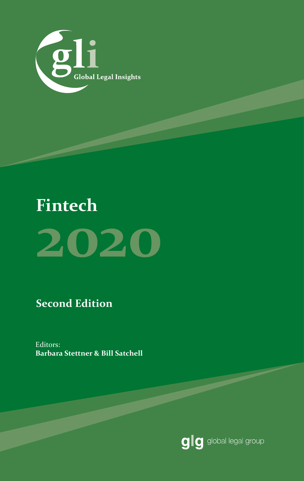

# **Fintech 2020**

**Second Edition**

Editors: **Barbara Stettner & Bill Satchell**

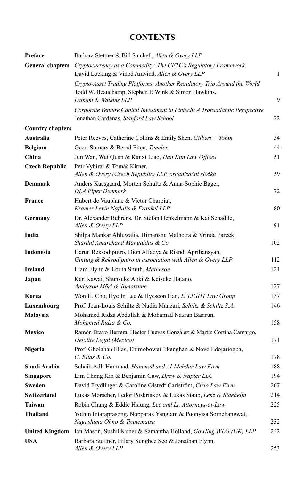#### **CONTENTS**

| Preface                 | Barbara Stettner & Bill Satchell, Allen & Overy LLP                                                                                                     |     |
|-------------------------|---------------------------------------------------------------------------------------------------------------------------------------------------------|-----|
| <b>General chapters</b> | Cryptocurrency as a Commodity: The CFTC's Regulatory Framework<br>David Lucking & Vinod Aravind, Allen & Overy LLP                                      | 1   |
|                         | Crypto-Asset Trading Platforms: Another Regulatory Trip Around the World<br>Todd W. Beauchamp, Stephen P. Wink & Simon Hawkins,<br>Latham & Watkins LLP | 9   |
|                         | Corporate Venture Capital Investment in Fintech: A Transatlantic Perspective<br>Jonathan Cardenas, Stanford Law School                                  | 22  |
| <b>Country chapters</b> |                                                                                                                                                         |     |
| Australia               | Peter Reeves, Catherine Collins & Emily Shen, Gilbert + Tobin                                                                                           | 34  |
| <b>Belgium</b>          | Geert Somers & Bernd Fiten, Timelex                                                                                                                     | 44  |
| China                   | Jun Wan, Wei Quan & Kanxi Liao, Han Kun Law Offices                                                                                                     | 51  |
| <b>Czech Republic</b>   | Petr Vybíral & Tomáš Kirner,<br>Allen & Overy (Czech Republic) LLP, organizační složka                                                                  | 59  |
| Denmark                 | Anders Kaasgaard, Morten Schultz & Anna-Sophie Bager,<br><b>DLA Piper Denmark</b>                                                                       | 72  |
| <b>France</b>           | Hubert de Vauplane & Victor Charpiat,<br>Kramer Levin Naftalis & Frankel LLP                                                                            | 80  |
| Germany                 | Dr. Alexander Behrens, Dr. Stefan Henkelmann & Kai Schadtle,<br>Allen & Overy LLP                                                                       | 91  |
| India                   | Shilpa Mankar Ahluwalia, Himanshu Malhotra & Vrinda Pareek,<br>Shardul Amarchand Mangaldas & Co                                                         | 102 |
| Indonesia               | Harun Reksodiputro, Dion Alfadya & Riandi Apriliansyah,<br>Ginting & Reksodiputro in association with Allen & Overy LLP                                 | 112 |
| <b>Ireland</b>          | Liam Flynn & Lorna Smith, Matheson                                                                                                                      | 121 |
| Japan                   | Ken Kawai, Shunsuke Aoki & Keisuke Hatano,<br>Anderson Mōri & Tomotsune                                                                                 | 127 |
| Korea                   | Won H. Cho, Hye In Lee & Hyeseon Han, D'LIGHT Law Group                                                                                                 | 137 |
| Luxembourg              | Prof. Jean-Louis Schiltz & Nadia Manzari, Schiltz & Schiltz S.A.                                                                                        | 146 |
| Malaysia                | Mohamed Ridza Abdullah & Mohamad Nazran Basirun,<br>Mohamed Ridza & Co.                                                                                 | 158 |
| <b>Mexico</b>           | Ramón Bravo Herrera, Héctor Cuevas González & Martín Cortina Camargo,<br>Deloitte Legal (Mexico)                                                        | 171 |
| Nigeria                 | Prof. Gbolahan Elias, Ebimobowei Jikenghan & Novo Edojariogba,<br>G. Elias & Co.                                                                        | 178 |
| Saudi Arabia            | Suhaib Adli Hammad, Hammad and Al-Mehdar Law Firm                                                                                                       | 188 |
| <b>Singapore</b>        | Lim Chong Kin & Benjamin Gaw, Drew & Napier LLC                                                                                                         | 194 |
| <b>Sweden</b>           | David Frydlinger & Caroline Olstedt Carlström, Cirio Law Firm                                                                                           | 207 |
| Switzerland             | Lukas Morscher, Fedor Poskriakov & Lukas Staub, Lenz & Staehelin                                                                                        | 214 |
| <b>Taiwan</b>           | Robin Chang & Eddie Hsiung, Lee and Li, Attorneys-at-Law                                                                                                | 225 |
| <b>Thailand</b>         | Yothin Intaraprasong, Nopparak Yangiam & Poonyisa Sornchangwat,<br>Nagashima Ohno & Tsunematsu                                                          | 232 |
| <b>United Kingdom</b>   | Ian Mason, Sushil Kuner & Samantha Holland, Gowling WLG (UK) LLP                                                                                        | 242 |
| <b>USA</b>              | Barbara Stettner, Hilary Sunghee Seo & Jonathan Flynn,<br>Allen & Overy LLP                                                                             | 253 |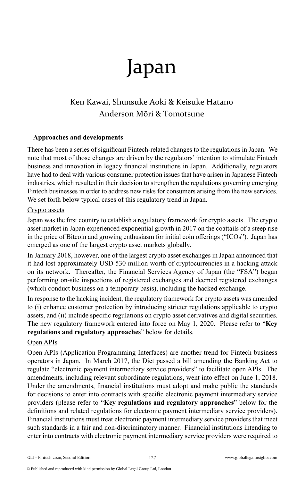# Japan

### Ken Kawai, Shunsuke Aoki & Keisuke Hatano Anderson Mōri & Tomotsune

#### **Approaches and developments**

There has been a series of significant Fintech-related changes to the regulations in Japan. We note that most of those changes are driven by the regulators' intention to stimulate Fintech business and innovation in legacy financial institutions in Japan. Additionally, regulators have had to deal with various consumer protection issues that have arisen in Japanese Fintech industries, which resulted in their decision to strengthen the regulations governing emerging Fintech businesses in order to address new risks for consumers arising from the new services. We set forth below typical cases of this regulatory trend in Japan.

#### Crypto assets

Japan was the first country to establish a regulatory framework for crypto assets. The crypto asset market in Japan experienced exponential growth in 2017 on the coattails of a steep rise in the price of Bitcoin and growing enthusiasm for initial coin offerings ("ICOs"). Japan has emerged as one of the largest crypto asset markets globally.

In January 2018, however, one of the largest crypto asset exchanges in Japan announced that it had lost approximately USD 530 million worth of cryptocurrencies in a hacking attack on its network. Thereafter, the Financial Services Agency of Japan (the "FSA") began performing on-site inspections of registered exchanges and deemed registered exchanges (which conduct business on a temporary basis), including the hacked exchange.

In response to the hacking incident, the regulatory framework for crypto assets was amended to (i) enhance customer protection by introducing stricter regulations applicable to crypto assets, and (ii) include specific regulations on crypto asset derivatives and digital securities. The new regulatory framework entered into force on May 1, 2020. Please refer to "**Key regulations and regulatory approaches**" below for details.

#### Open APIs

Open APIs (Application Programming Interfaces) are another trend for Fintech business operators in Japan. In March 2017, the Diet passed a bill amending the Banking Act to regulate "electronic payment intermediary service providers" to facilitate open APIs. The amendments, including relevant subordinate regulations, went into effect on June 1, 2018. Under the amendments, financial institutions must adopt and make public the standards for decisions to enter into contracts with specific electronic payment intermediary service providers (please refer to "**Key regulations and regulatory approaches**" below for the definitions and related regulations for electronic payment intermediary service providers). Financial institutions must treat electronic payment intermediary service providers that meet such standards in a fair and non-discriminatory manner. Financial institutions intending to enter into contracts with electronic payment intermediary service providers were required to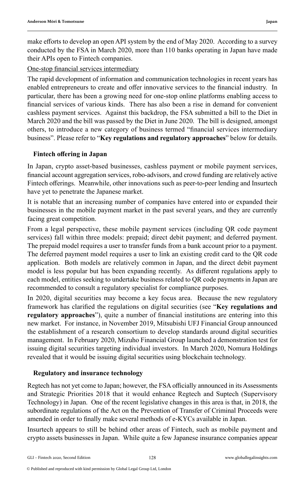make efforts to develop an open API system by the end of May 2020. According to a survey conducted by the FSA in March 2020, more than 110 banks operating in Japan have made their APIs open to Fintech companies.

One-stop financial services intermediary

The rapid development of information and communication technologies in recent years has enabled entrepreneurs to create and offer innovative services to the financial industry. In particular, there has been a growing need for one-stop online platforms enabling access to financial services of various kinds. There has also been a rise in demand for convenient cashless payment services. Against this backdrop, the FSA submitted a bill to the Diet in March 2020 and the bill was passed by the Diet in June 2020. The bill is designed, amongst others, to introduce a new category of business termed "financial services intermediary business". Please refer to "**Key regulations and regulatory approaches**" below for details.

#### **Fintech offering in Japan**

In Japan, crypto asset-based businesses, cashless payment or mobile payment services, financial account aggregation services, robo-advisors, and crowd funding are relatively active Fintech offerings. Meanwhile, other innovations such as peer-to-peer lending and Insurtech have yet to penetrate the Japanese market.

It is notable that an increasing number of companies have entered into or expanded their businesses in the mobile payment market in the past several years, and they are currently facing great competition.

From a legal perspective, these mobile payment services (including QR code payment services) fall within three models: prepaid; direct debit payment; and deferred payment. The prepaid model requires a user to transfer funds from a bank account prior to a payment. The deferred payment model requires a user to link an existing credit card to the QR code application. Both models are relatively common in Japan, and the direct debit payment model is less popular but has been expanding recently. As different regulations apply to each model, entities seeking to undertake business related to QR code payments in Japan are recommended to consult a regulatory specialist for compliance purposes.

In 2020, digital securities may become a key focus area. Because the new regulatory framework has clarified the regulations on digital securities (see "**Key regulations and regulatory approaches**"), quite a number of financial institutions are entering into this new market. For instance, in November 2019, Mitsubishi UFJ Financial Group announced the establishment of a research consortium to develop standards around digital securities management. In February 2020, Mizuho Financial Group launched a demonstration test for issuing digital securities targeting individual investors. In March 2020, Nomura Holdings revealed that it would be issuing digital securities using blockchain technology.

#### **Regulatory and insurance technology**

Regtech has not yet come to Japan; however, the FSA officially announced in its Assessments and Strategic Priorities 2018 that it would enhance Regtech and Suptech (Supervisory Technology) in Japan. One of the recent legislative changes in this area is that, in 2018, the subordinate regulations of the Act on the Prevention of Transfer of Criminal Proceeds were amended in order to finally make several methods of e-KYCs available in Japan.

Insurtech appears to still be behind other areas of Fintech, such as mobile payment and crypto assets businesses in Japan. While quite a few Japanese insurance companies appear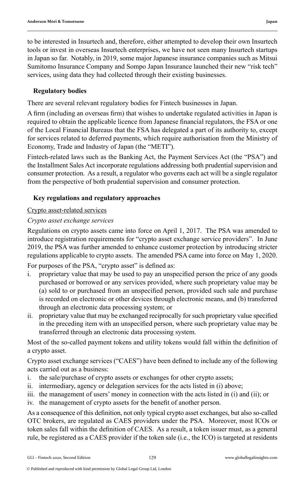to be interested in Insurtech and, therefore, either attempted to develop their own Insurtech tools or invest in overseas Insurtech enterprises, we have not seen many Insurtech startups in Japan so far. Notably, in 2019, some major Japanese insurance companies such as Mitsui Sumitomo Insurance Company and Sompo Japan Insurance launched their new "risk tech" services, using data they had collected through their existing businesses.

#### **Regulatory bodies**

There are several relevant regulatory bodies for Fintech businesses in Japan.

A firm (including an overseas firm) that wishes to undertake regulated activities in Japan is required to obtain the applicable licence from Japanese financial regulators, the FSA or one of the Local Financial Bureaus that the FSA has delegated a part of its authority to, except for services related to deferred payments, which require authorisation from the Ministry of Economy, Trade and Industry of Japan (the "METI").

Fintech-related laws such as the Banking Act, the Payment Services Act (the "PSA") and the Installment Sales Act incorporate regulations addressing both prudential supervision and consumer protection. As a result, a regulator who governs each act will be a single regulator from the perspective of both prudential supervision and consumer protection.

#### **Key regulations and regulatory approaches**

#### Crypto asset-related services

#### *Crypto asset exchange services*

Regulations on crypto assets came into force on April 1, 2017. The PSA was amended to introduce registration requirements for "crypto asset exchange service providers". In June 2019, the PSA was further amended to enhance customer protection by introducing stricter regulations applicable to crypto assets. The amended PSA came into force on May 1, 2020.

For purposes of the PSA, "crypto asset" is defined as:

- i. proprietary value that may be used to pay an unspecified person the price of any goods purchased or borrowed or any services provided, where such proprietary value may be (a) sold to or purchased from an unspecified person, provided such sale and purchase is recorded on electronic or other devices through electronic means, and (b) transferred through an electronic data processing system; or
- ii. proprietary value that may be exchanged reciprocally for such proprietary value specified in the preceding item with an unspecified person, where such proprietary value may be transferred through an electronic data processing system.

Most of the so-called payment tokens and utility tokens would fall within the definition of a crypto asset.

Crypto asset exchange services ("CAES") have been defined to include any of the following acts carried out as a business:

- i. the sale/purchase of crypto assets or exchanges for other crypto assets;
- ii. intermediary, agency or delegation services for the acts listed in (i) above;
- iii. the management of users' money in connection with the acts listed in (i) and (ii); or

iv. the management of crypto assets for the benefit of another person.

As a consequence of this definition, not only typical crypto asset exchanges, but also so-called OTC brokers, are regulated as CAES providers under the PSA. Moreover, most ICOs or token sales fall within the definition of CAES. As a result, a token issuer must, as a general rule, be registered as a CAES provider if the token sale (i.e., the ICO) is targeted at residents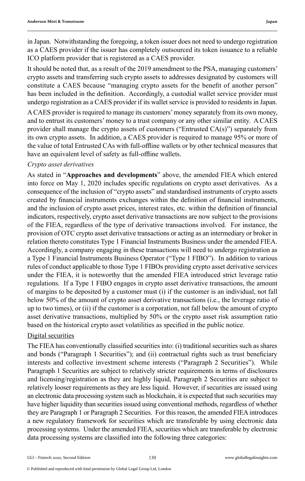in Japan. Notwithstanding the foregoing, a token issuer does not need to undergo registration as a CAES provider if the issuer has completely outsourced its token issuance to a reliable ICO platform provider that is registered as a CAES provider.

It should be noted that, as a result of the 2019 amendment to the PSA, managing customers' crypto assets and transferring such crypto assets to addresses designated by customers will constitute a CAES because "managing crypto assets for the benefit of another person" has been included in the definition. Accordingly, a custodial wallet service provider must undergo registration as a CAES provider if its wallet service is provided to residents in Japan.

A CAES provider is required to manage its customers' money separately from its own money, and to entrust its customers' money to a trust company or any other similar entity. A CAES provider shall manage the crypto assets of customers ("Entrusted  $CA(s)$ ") separately from its own crypto assets. In addition, a CAES provider is required to manage 95% or more of the value of total Entrusted CAs with full-offline wallets or by other technical measures that have an equivalent level of safety as full-offline wallets.

#### *Crypto asset derivatives*

As stated in "**Approaches and developments**" above, the amended FIEA which entered into force on May 1, 2020 includes specific regulations on crypto asset derivatives. As a consequence of the inclusion of "crypto assets" and standardised instruments of crypto assets created by financial instruments exchanges within the definition of financial instruments, and the inclusion of crypto asset prices, interest rates, etc. within the definition of financial indicators, respectively, crypto asset derivative transactions are now subject to the provisions of the FIEA, regardless of the type of derivative transactions involved. For instance, the provision of OTC crypto asset derivative transactions or acting as an intermediary or broker in relation thereto constitutes Type 1 Financial Instruments Business under the amended FIEA. Accordingly, a company engaging in these transactions will need to undergo registration as a Type 1 Financial Instruments Business Operator ("Type 1 FIBO"). In addition to various rules of conduct applicable to those Type 1 FIBOs providing crypto asset derivative services under the FIEA, it is noteworthy that the amended FIEA introduced strict leverage ratio regulations. If a Type 1 FIBO engages in crypto asset derivative transactions, the amount of margins to be deposited by a customer must (i) if the customer is an individual, not fall below 50% of the amount of crypto asset derivative transactions (i.e., the leverage ratio of up to two times), or (ii) if the customer is a corporation, not fall below the amount of crypto asset derivative transactions, multiplied by 50% or the crypto asset risk assumption ratio based on the historical crypto asset volatilities as specified in the public notice.

#### Digital securities

The FIEA has conventionally classified securities into: (i) traditional securities such as shares and bonds ("Paragraph 1 Securities"); and (ii) contractual rights such as trust beneficiary interests and collective investment scheme interests ("Paragraph 2 Securities"). While Paragraph 1 Securities are subject to relatively stricter requirements in terms of disclosures and licensing/registration as they are highly liquid, Paragraph 2 Securities are subject to relatively looser requirements as they are less liquid. However, if securities are issued using an electronic data processing system such as blockchain, it is expected that such securities may have higher liquidity than securities issued using conventional methods, regardless of whether they are Paragraph 1 or Paragraph 2 Securities. For this reason, the amended FIEA introduces a new regulatory framework for securities which are transferable by using electronic data processing systems. Under the amended FIEA, securities which are transferable by electronic data processing systems are classified into the following three categories: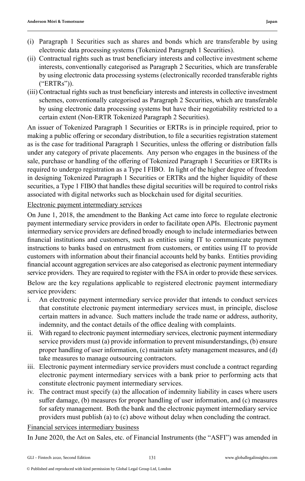- (i) Paragraph 1 Securities such as shares and bonds which are transferable by using electronic data processing systems (Tokenized Paragraph 1 Securities).
- (ii) Contractual rights such as trust beneficiary interests and collective investment scheme interests, conventionally categorised as Paragraph 2 Securities, which are transferable by using electronic data processing systems (electronically recorded transferable rights ("ERTRs")).
- (iii) Contractual rights such as trust beneficiary interests and interests in collective investment schemes, conventionally categorised as Paragraph 2 Securities, which are transferable by using electronic data processing systems but have their negotiability restricted to a certain extent (Non-ERTR Tokenized Paragraph 2 Securities).

An issuer of Tokenized Paragraph 1 Securities or ERTRs is in principle required, prior to making a public offering or secondary distribution, to file a securities registration statement as is the case for traditional Paragraph 1 Securities, unless the offering or distribution falls under any category of private placements. Any person who engages in the business of the sale, purchase or handling of the offering of Tokenized Paragraph 1 Securities or ERTRs is required to undergo registration as a Type I FIBO. In light of the higher degree of freedom in designing Tokenized Paragraph 1 Securities or ERTRs and the higher liquidity of these securities, a Type 1 FIBO that handles these digital securities will be required to control risks associated with digital networks such as blockchain used for digital securities.

Electronic payment intermediary services

On June 1, 2018, the amendment to the Banking Act came into force to regulate electronic payment intermediary service providers in order to facilitate open APIs. Electronic payment intermediary service providers are defined broadly enough to include intermediaries between financial institutions and customers, such as entities using IT to communicate payment instructions to banks based on entrustment from customers, or entities using IT to provide customers with information about their financial accounts held by banks. Entities providing financial account aggregation services are also categorised as electronic payment intermediary service providers. They are required to register with the FSA in order to provide these services. Below are the key regulations applicable to registered electronic payment intermediary service providers:

- i. An electronic payment intermediary service provider that intends to conduct services that constitute electronic payment intermediary services must, in principle, disclose certain matters in advance. Such matters include the trade name or address, authority, indemnity, and the contact details of the office dealing with complaints.
- ii. With regard to electronic payment intermediary services, electronic payment intermediary service providers must (a) provide information to prevent misunderstandings, (b) ensure proper handling of user information, (c) maintain safety management measures, and (d) take measures to manage outsourcing contractors.
- iii. Electronic payment intermediary service providers must conclude a contract regarding electronic payment intermediary services with a bank prior to performing acts that constitute electronic payment intermediary services.
- iv. The contract must specify (a) the allocation of indemnity liability in cases where users suffer damage, (b) measures for proper handling of user information, and (c) measures for safety management. Both the bank and the electronic payment intermediary service providers must publish (a) to (c) above without delay when concluding the contract.

Financial services intermediary business

In June 2020, the Act on Sales, etc. of Financial Instruments (the "ASFI") was amended in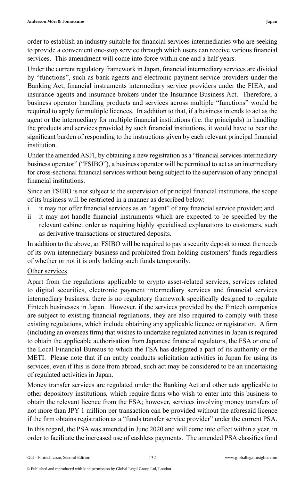order to establish an industry suitable for financial services intermediaries who are seeking to provide a convenient one-stop service through which users can receive various financial services. This amendment will come into force within one and a half years.

Under the current regulatory framework in Japan, financial intermediary services are divided by "functions", such as bank agents and electronic payment service providers under the Banking Act, financial instruments intermediary service providers under the FIEA, and insurance agents and insurance brokers under the Insurance Business Act. Therefore, a business operator handling products and services across multiple "functions" would be required to apply for multiple licences. In addition to that, if a business intends to act as the agent or the intermediary for multiple financial institutions (i.e. the principals) in handling the products and services provided by such financial institutions, it would have to bear the significant burden of responding to the instructions given by each relevant principal financial institution.

Under the amended ASFI, by obtaining a new registration as a "financial services intermediary business operator" ("FSIBO"), a business operator will be permitted to act as an intermediary for cross-sectional financial services without being subject to the supervision of any principal financial institutions.

Since an FSIBO is not subject to the supervision of principal financial institutions, the scope of its business will be restricted in a manner as described below:

- it may not offer financial services as an "agent" of any financial service provider; and
- ii it may not handle financial instruments which are expected to be specified by the relevant cabinet order as requiring highly specialised explanations to customers, such as derivative transactions or structured deposits.

In addition to the above, an FSIBO will be required to pay a security deposit to meet the needs of its own intermediary business and prohibited from holding customers' funds regardless of whether or not it is only holding such funds temporarily.

#### Other services

Apart from the regulations applicable to crypto asset-related services, services related to digital securities, electronic payment intermediary services and financial services intermediary business, there is no regulatory framework specifically designed to regulate Fintech businesses in Japan. However, if the services provided by the Fintech companies are subject to existing financial regulations, they are also required to comply with these existing regulations, which include obtaining any applicable licence or registration. A firm (including an overseas firm) that wishes to undertake regulated activities in Japan is required to obtain the applicable authorisation from Japanese financial regulators, the FSA or one of the Local Financial Bureaus to which the FSA has delegated a part of its authority or the METI. Please note that if an entity conducts solicitation activities in Japan for using its services, even if this is done from abroad, such act may be considered to be an undertaking of regulated activities in Japan.

Money transfer services are regulated under the Banking Act and other acts applicable to other depository institutions, which require firms who wish to enter into this business to obtain the relevant licence from the FSA; however, services involving money transfers of not more than JPY 1 million per transaction can be provided without the aforesaid licence if the firm obtains registration as a "funds transfer service provider" under the current PSA.

In this regard, the PSA was amended in June 2020 and will come into effect within a year, in order to facilitate the increased use of cashless payments. The amended PSA classifies fund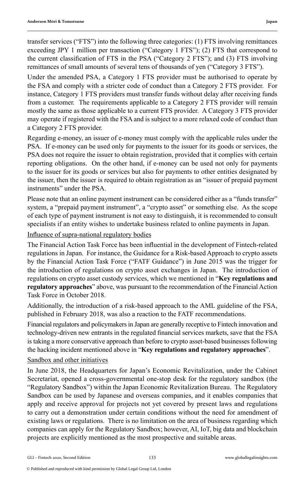transfer services ("FTS") into the following three categories: (1) FTS involving remittances exceeding JPY 1 million per transaction ("Category 1 FTS"); (2) FTS that correspond to the current classification of FTS in the PSA ("Category 2 FTS"); and (3) FTS involving remittances of small amounts of several tens of thousands of yen ("Category 3 FTS").

Under the amended PSA, a Category 1 FTS provider must be authorised to operate by the FSA and comply with a stricter code of conduct than a Category 2 FTS provider. For instance, Category 1 FTS providers must transfer funds without delay after receiving funds from a customer. The requirements applicable to a Category 2 FTS provider will remain mostly the same as those applicable to a current FTS provider. A Category 3 FTS provider may operate if registered with the FSA and is subject to a more relaxed code of conduct than a Category 2 FTS provider.

Regarding e-money, an issuer of e-money must comply with the applicable rules under the PSA. If e-money can be used only for payments to the issuer for its goods or services, the PSA does not require the issuer to obtain registration, provided that it complies with certain reporting obligations. On the other hand, if e-money can be used not only for payments to the issuer for its goods or services but also for payments to other entities designated by the issuer, then the issuer is required to obtain registration as an "issuer of prepaid payment instruments" under the PSA.

Please note that an online payment instrument can be considered either as a "funds transfer" system, a "prepaid payment instrument", a "crypto asset" or something else. As the scope of each type of payment instrument is not easy to distinguish, it is recommended to consult specialists if an entity wishes to undertake business related to online payments in Japan.

Influence of supra-national regulatory bodies

The Financial Action Task Force has been influential in the development of Fintech-related regulations in Japan. For instance, the Guidance for a Risk-based Approach to crypto assets by the Financial Action Task Force ("FATF Guidance") in June 2015 was the trigger for the introduction of regulations on crypto asset exchanges in Japan. The introduction of regulations on crypto asset custody services, which we mentioned in "**Key regulations and regulatory approaches**" above, was pursuant to the recommendation of the Financial Action Task Force in October 2018.

Additionally, the introduction of a risk-based approach to the AML guideline of the FSA, published in February 2018, was also a reaction to the FATF recommendations.

Financial regulators and policymakers in Japan are generally receptive to Fintech innovation and technology-driven new entrants in the regulated financial services markets, save that the FSA is taking a more conservative approach than before to crypto asset-based businesses following the hacking incident mentioned above in "**Key regulations and regulatory approaches**".

#### Sandbox and other initiatives

In June 2018, the Headquarters for Japan's Economic Revitalization, under the Cabinet Secretariat, opened a cross-governmental one-stop desk for the regulatory sandbox (the "Regulatory Sandbox") within the Japan Economic Revitalization Bureau. The Regulatory Sandbox can be used by Japanese and overseas companies, and it enables companies that apply and receive approval for projects not yet covered by present laws and regulations to carry out a demonstration under certain conditions without the need for amendment of existing laws or regulations. There is no limitation on the area of business regarding which companies can apply for the Regulatory Sandbox; however, AI, IoT, big data and blockchain projects are explicitly mentioned as the most prospective and suitable areas.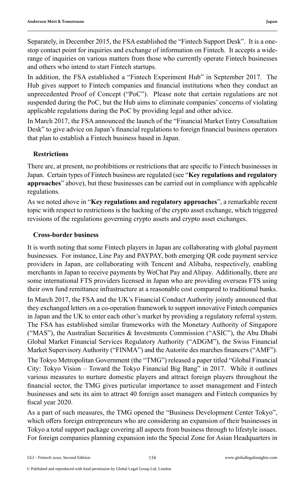Separately, in December 2015, the FSA established the "Fintech Support Desk". It is a onestop contact point for inquiries and exchange of information on Fintech. It accepts a widerange of inquiries on various matters from those who currently operate Fintech businesses and others who intend to start Fintech startups.

In addition, the FSA established a "Fintech Experiment Hub" in September 2017. The Hub gives support to Fintech companies and financial institutions when they conduct an unprecedented Proof of Concept ("PoC"). Please note that certain regulations are not suspended during the PoC, but the Hub aims to eliminate companies' concerns of violating applicable regulations during the PoC by providing legal and other advice.

In March 2017, the FSA announced the launch of the "Financial Market Entry Consultation Desk" to give advice on Japan's financial regulations to foreign financial business operators that plan to establish a Fintech business based in Japan.

#### **Restrictions**

There are, at present, no prohibitions or restrictions that are specific to Fintech businesses in Japan. Certain types of Fintech business are regulated (see "**Key regulations and regulatory approaches**" above), but these businesses can be carried out in compliance with applicable regulations.

As we noted above in "**Key regulations and regulatory approaches**", a remarkable recent topic with respect to restrictions is the hacking of the crypto asset exchange, which triggered revisions of the regulations governing crypto assets and crypto asset exchanges.

#### **Cross-border business**

It is worth noting that some Fintech players in Japan are collaborating with global payment businesses. For instance, Line Pay and PAYPAY, both emerging QR code payment service providers in Japan, are collaborating with Tencent and Alibaba, respectively, enabling merchants in Japan to receive payments by WeChat Pay and Alipay. Additionally, there are some international FTS providers licensed in Japan who are providing overseas FTS using their own fund remittance infrastructure at a reasonable cost compared to traditional banks. In March 2017, the FSA and the UK's Financial Conduct Authority jointly announced that they exchanged letters on a co-operation framework to support innovative Fintech companies in Japan and the UK to enter each other's market by providing a regulatory referral system. The FSA has established similar frameworks with the Monetary Authority of Singapore ("MAS"), the Australian Securities & Investments Commission ("ASIC"), the Abu Dhabi Global Market Financial Services Regulatory Authority ("ADGM"), the Swiss Financial Market Supervisory Authority ("FINMA") and the Autorite des marches financers ("AMF"). The Tokyo Metropolitan Government (the "TMG") released a paper titled "Global Financial City: Tokyo Vision – Toward the Tokyo Financial Big Bang" in 2017. While it outlines various measures to nurture domestic players and attract foreign players throughout the financial sector, the TMG gives particular importance to asset management and Fintech businesses and sets its aim to attract 40 foreign asset managers and Fintech companies by fiscal year 2020.

As a part of such measures, the TMG opened the "Business Development Center Tokyo", which offers foreign entrepreneurs who are considering an expansion of their businesses in Tokyo a total support package covering all aspects from business through to lifestyle issues. For foreign companies planning expansion into the Special Zone for Asian Headquarters in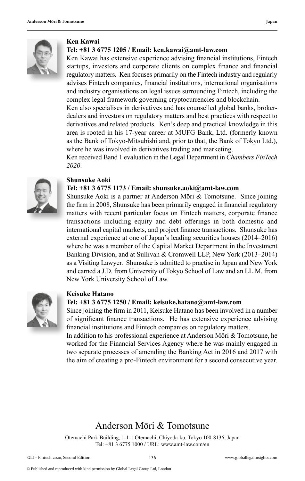

#### **Ken Kawai**

#### **Tel: +81 3 6775 1205 / Email: ken.kawai@amt-law.com**

Ken Kawai has extensive experience advising financial institutions, Fintech startups, investors and corporate clients on complex finance and financial regulatory matters. Ken focuses primarily on the Fintech industry and regularly advises Fintech companies, financial institutions, international organisations and industry organisations on legal issues surrounding Fintech, including the complex legal framework governing cryptocurrencies and blockchain.

Ken also specialises in derivatives and has counselled global banks, brokerdealers and investors on regulatory matters and best practices with respect to derivatives and related products. Ken's deep and practical knowledge in this area is rooted in his 17-year career at MUFG Bank, Ltd. (formerly known as the Bank of Tokyo-Mitsubishi and, prior to that, the Bank of Tokyo Ltd.), where he was involved in derivatives trading and marketing.

Ken received Band 1 evaluation in the Legal Department in *Chambers FinTech 2020*.



#### **Shunsuke Aoki**

#### **Tel: +81 3 6775 1173 / Email: shunsuke.aoki@amt-law.com**

Shunsuke Aoki is a partner at Anderson Mōri & Tomotsune. Since joining the firm in 2008, Shunsuke has been primarily engaged in financial regulatory matters with recent particular focus on Fintech matters, corporate finance transactions including equity and debt offerings in both domestic and international capital markets, and project finance transactions. Shunsuke has external experience at one of Japan's leading securities houses (2014–2016) where he was a member of the Capital Market Department in the Investment Banking Division, and at Sullivan & Cromwell LLP, New York (2013–2014) as a Visiting Lawyer. Shunsuke is admitted to practise in Japan and New York and earned a J.D. from University of Tokyo School of Law and an LL.M. from New York University School of Law.



#### **Keisuke Hatano**

#### **Tel: +81 3 6775 1250 / Email: keisuke.hatano@amt-law.com**

Since joining the firm in 2011, Keisuke Hatano has been involved in a number of significant finance transactions. He has extensive experience advising financial institutions and Fintech companies on regulatory matters.

In addition to his professional experience at Anderson Mōri & Tomotsune, he worked for the Financial Services Agency where he was mainly engaged in two separate processes of amending the Banking Act in 2016 and 2017 with the aim of creating a pro-Fintech environment for a second consecutive year.

#### Anderson Mōri & Tomotsune

Otemachi Park Building, 1-1-1 Otemachi, Chiyoda-ku, Tokyo 100-8136, Japan Tel: +81 3 6775 1000 / URL: www.amt-law.com/en